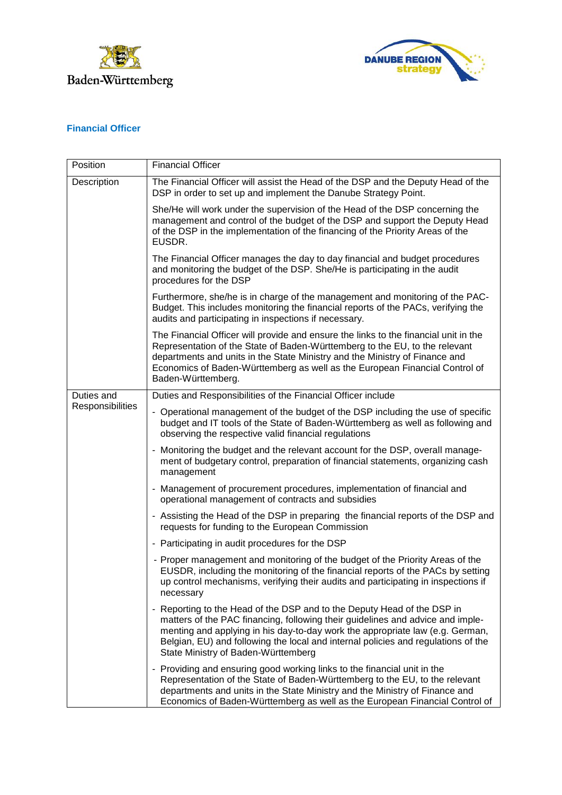



## **Financial Officer**

| Position                       | <b>Financial Officer</b>                                                                                                                                                                                                                                                                                                                                               |
|--------------------------------|------------------------------------------------------------------------------------------------------------------------------------------------------------------------------------------------------------------------------------------------------------------------------------------------------------------------------------------------------------------------|
| Description                    | The Financial Officer will assist the Head of the DSP and the Deputy Head of the<br>DSP in order to set up and implement the Danube Strategy Point.                                                                                                                                                                                                                    |
|                                | She/He will work under the supervision of the Head of the DSP concerning the<br>management and control of the budget of the DSP and support the Deputy Head<br>of the DSP in the implementation of the financing of the Priority Areas of the<br>EUSDR.                                                                                                                |
|                                | The Financial Officer manages the day to day financial and budget procedures<br>and monitoring the budget of the DSP. She/He is participating in the audit<br>procedures for the DSP                                                                                                                                                                                   |
|                                | Furthermore, she/he is in charge of the management and monitoring of the PAC-<br>Budget. This includes monitoring the financial reports of the PACs, verifying the<br>audits and participating in inspections if necessary.                                                                                                                                            |
|                                | The Financial Officer will provide and ensure the links to the financial unit in the<br>Representation of the State of Baden-Württemberg to the EU, to the relevant<br>departments and units in the State Ministry and the Ministry of Finance and<br>Economics of Baden-Württemberg as well as the European Financial Control of<br>Baden-Württemberg.                |
| Duties and<br>Responsibilities | Duties and Responsibilities of the Financial Officer include                                                                                                                                                                                                                                                                                                           |
|                                | - Operational management of the budget of the DSP including the use of specific<br>budget and IT tools of the State of Baden-Württemberg as well as following and<br>observing the respective valid financial regulations                                                                                                                                              |
|                                | - Monitoring the budget and the relevant account for the DSP, overall manage-<br>ment of budgetary control, preparation of financial statements, organizing cash<br>management                                                                                                                                                                                         |
|                                | - Management of procurement procedures, implementation of financial and<br>operational management of contracts and subsidies                                                                                                                                                                                                                                           |
|                                | - Assisting the Head of the DSP in preparing the financial reports of the DSP and<br>requests for funding to the European Commission                                                                                                                                                                                                                                   |
|                                | - Participating in audit procedures for the DSP                                                                                                                                                                                                                                                                                                                        |
|                                | - Proper management and monitoring of the budget of the Priority Areas of the<br>EUSDR, including the monitoring of the financial reports of the PACs by setting<br>up control mechanisms, verifying their audits and participating in inspections if<br>necessary                                                                                                     |
|                                | - Reporting to the Head of the DSP and to the Deputy Head of the DSP in<br>matters of the PAC financing, following their guidelines and advice and imple-<br>menting and applying in his day-to-day work the appropriate law (e.g. German,<br>Belgian, EU) and following the local and internal policies and regulations of the<br>State Ministry of Baden-Württemberg |
|                                | - Providing and ensuring good working links to the financial unit in the<br>Representation of the State of Baden-Württemberg to the EU, to the relevant<br>departments and units in the State Ministry and the Ministry of Finance and<br>Economics of Baden-Württemberg as well as the European Financial Control of                                                  |